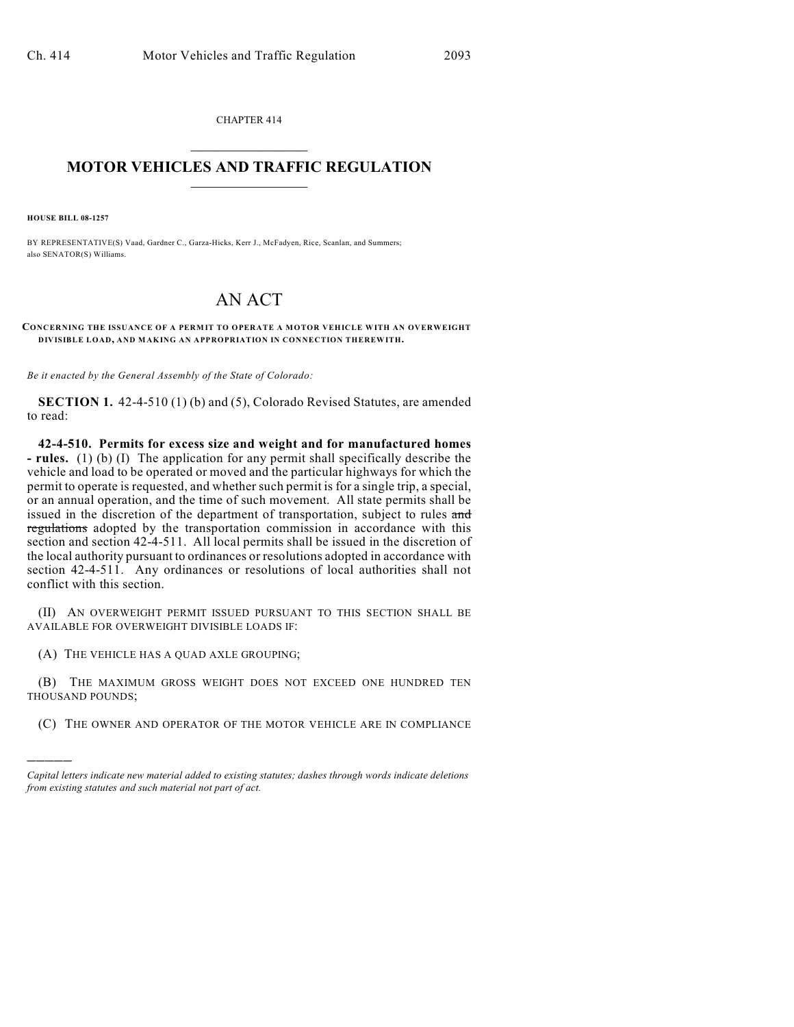CHAPTER 414  $\mathcal{L}_\text{max}$  . The set of the set of the set of the set of the set of the set of the set of the set of the set of the set of the set of the set of the set of the set of the set of the set of the set of the set of the set

## **MOTOR VEHICLES AND TRAFFIC REGULATION**  $\frac{1}{2}$  ,  $\frac{1}{2}$  ,  $\frac{1}{2}$  ,  $\frac{1}{2}$  ,  $\frac{1}{2}$  ,  $\frac{1}{2}$  ,  $\frac{1}{2}$  ,  $\frac{1}{2}$

**HOUSE BILL 08-1257**

)))))

BY REPRESENTATIVE(S) Vaad, Gardner C., Garza-Hicks, Kerr J., McFadyen, Rice, Scanlan, and Summers; also SENATOR(S) Williams.

## AN ACT

**CONCERNING THE ISSUANCE OF A PERMIT TO OPERATE A MOTOR VEHICLE WITH AN OVERWEIGHT DIVISIBLE LOAD, AND MAKING AN APPROPRIATION IN CONNECTION THEREWITH.**

*Be it enacted by the General Assembly of the State of Colorado:*

**SECTION 1.** 42-4-510 (1) (b) and (5), Colorado Revised Statutes, are amended to read:

**42-4-510. Permits for excess size and weight and for manufactured homes - rules.** (1) (b) (I) The application for any permit shall specifically describe the vehicle and load to be operated or moved and the particular highways for which the permit to operate is requested, and whether such permit is for a single trip, a special, or an annual operation, and the time of such movement. All state permits shall be issued in the discretion of the department of transportation, subject to rules and regulations adopted by the transportation commission in accordance with this section and section 42-4-511. All local permits shall be issued in the discretion of the local authority pursuant to ordinances or resolutions adopted in accordance with section 42-4-511. Any ordinances or resolutions of local authorities shall not conflict with this section.

(II) AN OVERWEIGHT PERMIT ISSUED PURSUANT TO THIS SECTION SHALL BE AVAILABLE FOR OVERWEIGHT DIVISIBLE LOADS IF:

(A) THE VEHICLE HAS A QUAD AXLE GROUPING;

(B) THE MAXIMUM GROSS WEIGHT DOES NOT EXCEED ONE HUNDRED TEN THOUSAND POUNDS;

(C) THE OWNER AND OPERATOR OF THE MOTOR VEHICLE ARE IN COMPLIANCE

*Capital letters indicate new material added to existing statutes; dashes through words indicate deletions from existing statutes and such material not part of act.*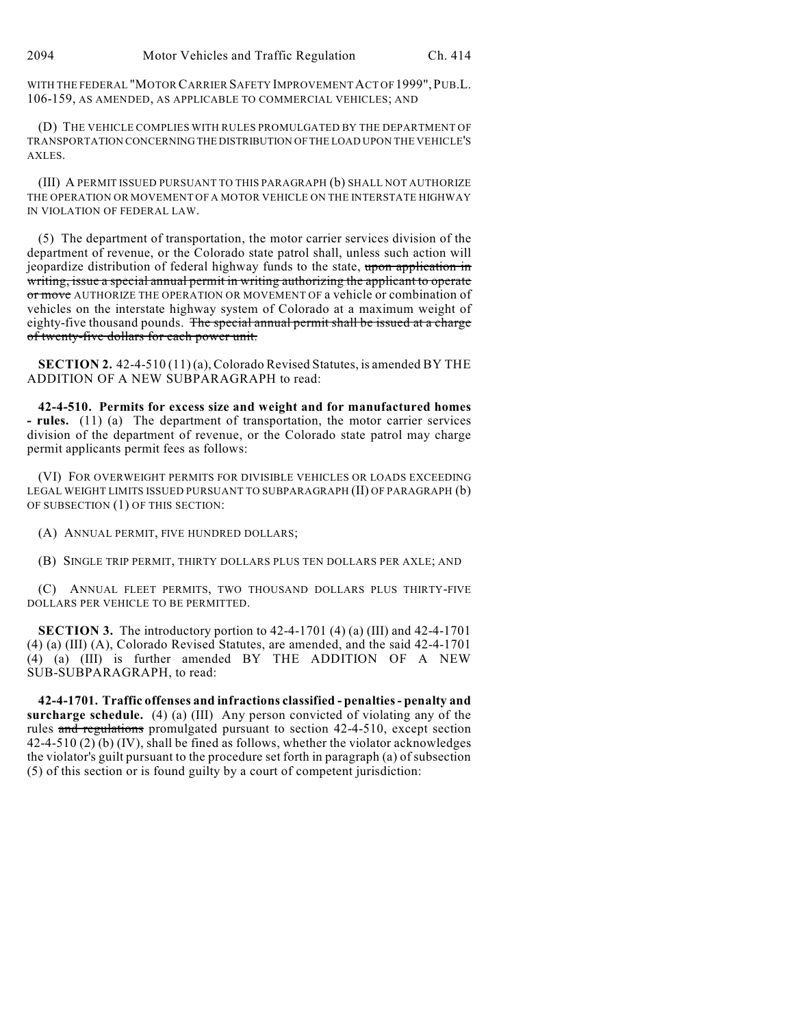WITH THE FEDERAL "MOTOR CARRIER SAFETY IMPROVEMENT ACT OF 1999", PUB.L. 106-159, AS AMENDED, AS APPLICABLE TO COMMERCIAL VEHICLES; AND

(D) THE VEHICLE COMPLIES WITH RULES PROMULGATED BY THE DEPARTMENT OF TRANSPORTATION CONCERNING THE DISTRIBUTION OF THE LOAD UPON THE VEHICLE'S AXLES.

(III) A PERMIT ISSUED PURSUANT TO THIS PARAGRAPH (b) SHALL NOT AUTHORIZE THE OPERATION OR MOVEMENT OF A MOTOR VEHICLE ON THE INTERSTATE HIGHWAY IN VIOLATION OF FEDERAL LAW.

(5) The department of transportation, the motor carrier services division of the department of revenue, or the Colorado state patrol shall, unless such action will jeopardize distribution of federal highway funds to the state, upon application in writing, issue a special annual permit in writing authorizing the applicant to operate or move AUTHORIZE THE OPERATION OR MOVEMENT OF a vehicle or combination of vehicles on the interstate highway system of Colorado at a maximum weight of eighty-five thousand pounds. The special annual permit shall be issued at a charge of twenty-five dollars for each power unit.

**SECTION 2.** 42-4-510 (11) (a), Colorado Revised Statutes, is amended BY THE ADDITION OF A NEW SUBPARAGRAPH to read:

**42-4-510. Permits for excess size and weight and for manufactured homes - rules.** (11) (a) The department of transportation, the motor carrier services division of the department of revenue, or the Colorado state patrol may charge permit applicants permit fees as follows:

(VI) FOR OVERWEIGHT PERMITS FOR DIVISIBLE VEHICLES OR LOADS EXCEEDING LEGAL WEIGHT LIMITS ISSUED PURSUANT TO SUBPARAGRAPH (II) OF PARAGRAPH (b) OF SUBSECTION (1) OF THIS SECTION:

(A) ANNUAL PERMIT, FIVE HUNDRED DOLLARS;

(B) SINGLE TRIP PERMIT, THIRTY DOLLARS PLUS TEN DOLLARS PER AXLE; AND

(C) ANNUAL FLEET PERMITS, TWO THOUSAND DOLLARS PLUS THIRTY-FIVE DOLLARS PER VEHICLE TO BE PERMITTED.

**SECTION 3.** The introductory portion to 42-4-1701 (4) (a) (III) and 42-4-1701 (4) (a) (III) (A), Colorado Revised Statutes, are amended, and the said 42-4-1701 (4) (a) (III) is further amended BY THE ADDITION OF A NEW SUB-SUBPARAGRAPH, to read:

**42-4-1701. Traffic offenses and infractions classified - penalties - penalty and surcharge schedule.** (4) (a) (III) Any person convicted of violating any of the rules and regulations promulgated pursuant to section 42-4-510, except section 42-4-510 (2) (b) (IV), shall be fined as follows, whether the violator acknowledges the violator's guilt pursuant to the procedure set forth in paragraph (a) of subsection (5) of this section or is found guilty by a court of competent jurisdiction: